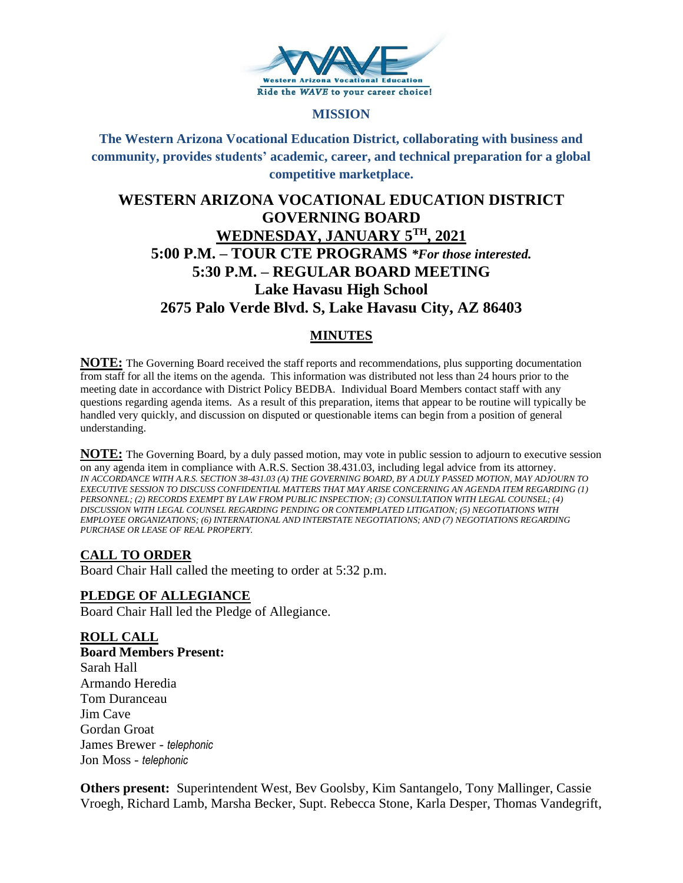

### **MISSION**

**The Western Arizona Vocational Education District, collaborating with business and community, provides students' academic, career, and technical preparation for a global competitive marketplace.**

# **WESTERN ARIZONA VOCATIONAL EDUCATION DISTRICT GOVERNING BOARD WEDNESDAY, JANUARY 5TH, 2021 5:00 P.M. – TOUR CTE PROGRAMS** *\*For those interested.*  **5:30 P.M. – REGULAR BOARD MEETING Lake Havasu High School 2675 Palo Verde Blvd. S, Lake Havasu City, AZ 86403**

# **MINUTES**

**NOTE:** The Governing Board received the staff reports and recommendations, plus supporting documentation from staff for all the items on the agenda. This information was distributed not less than 24 hours prior to the meeting date in accordance with District Policy BEDBA. Individual Board Members contact staff with any questions regarding agenda items. As a result of this preparation, items that appear to be routine will typically be handled very quickly, and discussion on disputed or questionable items can begin from a position of general understanding.

**NOTE:** The Governing Board, by a duly passed motion, may vote in public session to adjourn to executive session on any agenda item in compliance with A.R.S. Section 38.431.03, including legal advice from its attorney. *IN ACCORDANCE WITH A.R.S. SECTION 38-431.03 (A) THE GOVERNING BOARD, BY A DULY PASSED MOTION, MAY ADJOURN TO EXECUTIVE SESSION TO DISCUSS CONFIDENTIAL MATTERS THAT MAY ARISE CONCERNING AN AGENDA ITEM REGARDING (1) PERSONNEL; (2) RECORDS EXEMPT BY LAW FROM PUBLIC INSPECTION; (3) CONSULTATION WITH LEGAL COUNSEL; (4) DISCUSSION WITH LEGAL COUNSEL REGARDING PENDING OR CONTEMPLATED LITIGATION; (5) NEGOTIATIONS WITH EMPLOYEE ORGANIZATIONS; (6) INTERNATIONAL AND INTERSTATE NEGOTIATIONS; AND (7) NEGOTIATIONS REGARDING PURCHASE OR LEASE OF REAL PROPERTY.*

# **CALL TO ORDER**

Board Chair Hall called the meeting to order at 5:32 p.m.

### **PLEDGE OF ALLEGIANCE**

Board Chair Hall led the Pledge of Allegiance.

**ROLL CALL Board Members Present:** Sarah Hall Armando Heredia Tom Duranceau Jim Cave Gordan Groat James Brewer - *telephonic* Jon Moss - *telephonic*

**Others present:** Superintendent West, Bev Goolsby, Kim Santangelo, Tony Mallinger, Cassie Vroegh, Richard Lamb, Marsha Becker, Supt. Rebecca Stone, Karla Desper, Thomas Vandegrift,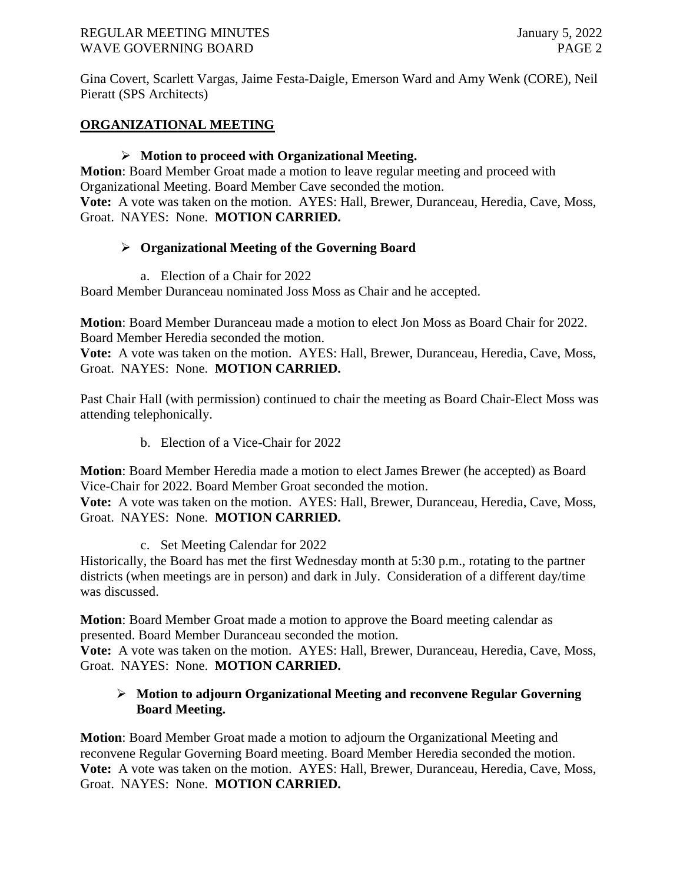# REGULAR MEETING MINUTES January 5, 2022 WAVE GOVERNING BOARD **PAGE 2**

Gina Covert, Scarlett Vargas, Jaime Festa-Daigle, Emerson Ward and Amy Wenk (CORE), Neil Pieratt (SPS Architects)

# **ORGANIZATIONAL MEETING**

# ➢ **Motion to proceed with Organizational Meeting.**

**Motion**: Board Member Groat made a motion to leave regular meeting and proceed with Organizational Meeting. Board Member Cave seconded the motion. **Vote:** A vote was taken on the motion. AYES: Hall, Brewer, Duranceau, Heredia, Cave, Moss, Groat. NAYES: None. **MOTION CARRIED.** 

# ➢ **Organizational Meeting of the Governing Board**

a. Election of a Chair for 2022

Board Member Duranceau nominated Joss Moss as Chair and he accepted.

**Motion**: Board Member Duranceau made a motion to elect Jon Moss as Board Chair for 2022. Board Member Heredia seconded the motion.

**Vote:** A vote was taken on the motion. AYES: Hall, Brewer, Duranceau, Heredia, Cave, Moss, Groat. NAYES: None. **MOTION CARRIED.**

Past Chair Hall (with permission) continued to chair the meeting as Board Chair-Elect Moss was attending telephonically.

b. Election of a Vice-Chair for 2022

**Motion**: Board Member Heredia made a motion to elect James Brewer (he accepted) as Board Vice-Chair for 2022. Board Member Groat seconded the motion.

**Vote:** A vote was taken on the motion. AYES: Hall, Brewer, Duranceau, Heredia, Cave, Moss, Groat. NAYES: None. **MOTION CARRIED.**

c. Set Meeting Calendar for 2022

Historically, the Board has met the first Wednesday month at 5:30 p.m., rotating to the partner districts (when meetings are in person) and dark in July. Consideration of a different day/time was discussed.

**Motion**: Board Member Groat made a motion to approve the Board meeting calendar as presented. Board Member Duranceau seconded the motion.

**Vote:** A vote was taken on the motion. AYES: Hall, Brewer, Duranceau, Heredia, Cave, Moss, Groat. NAYES: None. **MOTION CARRIED.**

# ➢ **Motion to adjourn Organizational Meeting and reconvene Regular Governing Board Meeting.**

**Motion**: Board Member Groat made a motion to adjourn the Organizational Meeting and reconvene Regular Governing Board meeting. Board Member Heredia seconded the motion. **Vote:** A vote was taken on the motion. AYES: Hall, Brewer, Duranceau, Heredia, Cave, Moss, Groat. NAYES: None. **MOTION CARRIED.**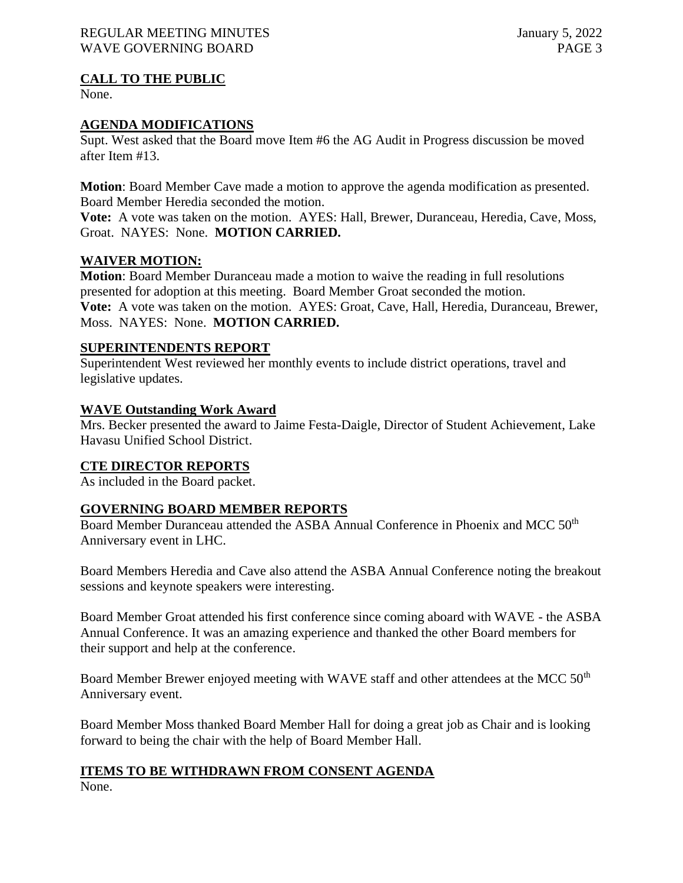### REGULAR MEETING MINUTES January 5, 2022 WAVE GOVERNING BOARD **PAGE 3**

# **CALL TO THE PUBLIC**

None.

# **AGENDA MODIFICATIONS**

Supt. West asked that the Board move Item #6 the AG Audit in Progress discussion be moved after Item #13.

**Motion**: Board Member Cave made a motion to approve the agenda modification as presented. Board Member Heredia seconded the motion.

**Vote:** A vote was taken on the motion. AYES: Hall, Brewer, Duranceau, Heredia, Cave, Moss, Groat. NAYES: None. **MOTION CARRIED.**

# **WAIVER MOTION:**

**Motion**: Board Member Duranceau made a motion to waive the reading in full resolutions presented for adoption at this meeting. Board Member Groat seconded the motion. **Vote:** A vote was taken on the motion. AYES: Groat, Cave, Hall, Heredia, Duranceau, Brewer, Moss. NAYES: None. **MOTION CARRIED.**

### **SUPERINTENDENTS REPORT**

Superintendent West reviewed her monthly events to include district operations, travel and legislative updates.

### **WAVE Outstanding Work Award**

Mrs. Becker presented the award to Jaime Festa-Daigle, Director of Student Achievement, Lake Havasu Unified School District.

### **CTE DIRECTOR REPORTS**

As included in the Board packet.

### **GOVERNING BOARD MEMBER REPORTS**

Board Member Duranceau attended the ASBA Annual Conference in Phoenix and MCC  $50<sup>th</sup>$ Anniversary event in LHC.

Board Members Heredia and Cave also attend the ASBA Annual Conference noting the breakout sessions and keynote speakers were interesting.

Board Member Groat attended his first conference since coming aboard with WAVE - the ASBA Annual Conference. It was an amazing experience and thanked the other Board members for their support and help at the conference.

Board Member Brewer enjoyed meeting with WAVE staff and other attendees at the MCC 50<sup>th</sup> Anniversary event.

Board Member Moss thanked Board Member Hall for doing a great job as Chair and is looking forward to being the chair with the help of Board Member Hall.

### **ITEMS TO BE WITHDRAWN FROM CONSENT AGENDA**

None.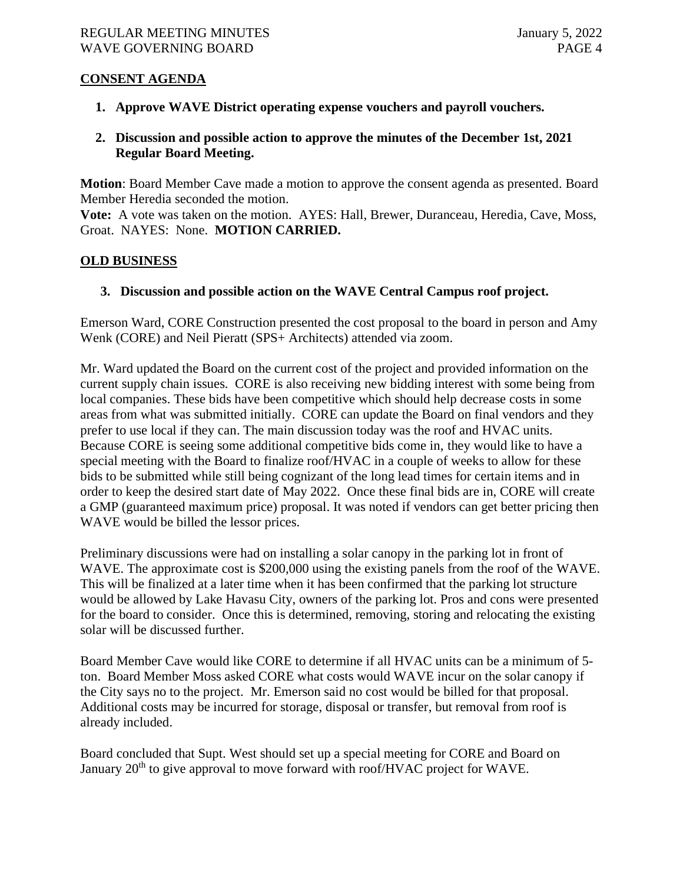# **CONSENT AGENDA**

- **1. Approve WAVE District operating expense vouchers and payroll vouchers.**
- **2. Discussion and possible action to approve the minutes of the December 1st, 2021 Regular Board Meeting.**

**Motion**: Board Member Cave made a motion to approve the consent agenda as presented. Board Member Heredia seconded the motion.

**Vote:** A vote was taken on the motion. AYES: Hall, Brewer, Duranceau, Heredia, Cave, Moss, Groat. NAYES: None. **MOTION CARRIED.**

# **OLD BUSINESS**

# **3. Discussion and possible action on the WAVE Central Campus roof project.**

Emerson Ward, CORE Construction presented the cost proposal to the board in person and Amy Wenk (CORE) and Neil Pieratt (SPS+ Architects) attended via zoom.

Mr. Ward updated the Board on the current cost of the project and provided information on the current supply chain issues. CORE is also receiving new bidding interest with some being from local companies. These bids have been competitive which should help decrease costs in some areas from what was submitted initially. CORE can update the Board on final vendors and they prefer to use local if they can. The main discussion today was the roof and HVAC units. Because CORE is seeing some additional competitive bids come in, they would like to have a special meeting with the Board to finalize roof/HVAC in a couple of weeks to allow for these bids to be submitted while still being cognizant of the long lead times for certain items and in order to keep the desired start date of May 2022. Once these final bids are in, CORE will create a GMP (guaranteed maximum price) proposal. It was noted if vendors can get better pricing then WAVE would be billed the lessor prices.

Preliminary discussions were had on installing a solar canopy in the parking lot in front of WAVE. The approximate cost is \$200,000 using the existing panels from the roof of the WAVE. This will be finalized at a later time when it has been confirmed that the parking lot structure would be allowed by Lake Havasu City, owners of the parking lot. Pros and cons were presented for the board to consider. Once this is determined, removing, storing and relocating the existing solar will be discussed further.

Board Member Cave would like CORE to determine if all HVAC units can be a minimum of 5 ton. Board Member Moss asked CORE what costs would WAVE incur on the solar canopy if the City says no to the project. Mr. Emerson said no cost would be billed for that proposal. Additional costs may be incurred for storage, disposal or transfer, but removal from roof is already included.

Board concluded that Supt. West should set up a special meeting for CORE and Board on January 20<sup>th</sup> to give approval to move forward with roof/HVAC project for WAVE.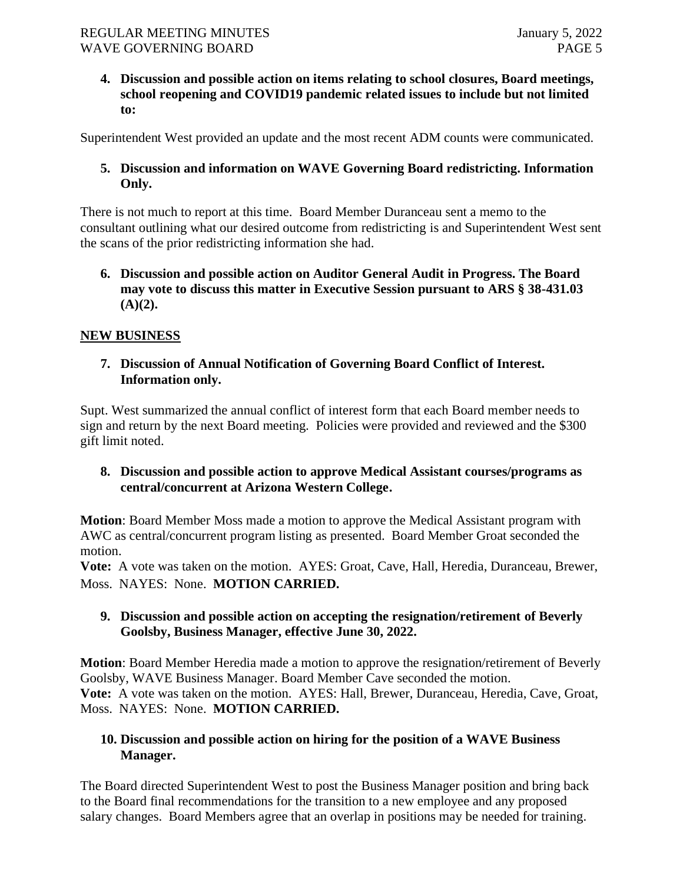**4. Discussion and possible action on items relating to school closures, Board meetings, school reopening and COVID19 pandemic related issues to include but not limited to:**

Superintendent West provided an update and the most recent ADM counts were communicated.

# **5. Discussion and information on WAVE Governing Board redistricting. Information Only.**

There is not much to report at this time. Board Member Duranceau sent a memo to the consultant outlining what our desired outcome from redistricting is and Superintendent West sent the scans of the prior redistricting information she had.

**6. Discussion and possible action on Auditor General Audit in Progress. The Board may vote to discuss this matter in Executive Session pursuant to ARS § 38-431.03 (A)(2).**

# **NEW BUSINESS**

**7. Discussion of Annual Notification of Governing Board Conflict of Interest. Information only.**

Supt. West summarized the annual conflict of interest form that each Board member needs to sign and return by the next Board meeting. Policies were provided and reviewed and the \$300 gift limit noted.

**8. Discussion and possible action to approve Medical Assistant courses/programs as central/concurrent at Arizona Western College.**

**Motion**: Board Member Moss made a motion to approve the Medical Assistant program with AWC as central/concurrent program listing as presented. Board Member Groat seconded the motion.

**Vote:** A vote was taken on the motion. AYES: Groat, Cave, Hall, Heredia, Duranceau, Brewer, Moss. NAYES: None. **MOTION CARRIED.**

# **9. Discussion and possible action on accepting the resignation/retirement of Beverly Goolsby, Business Manager, effective June 30, 2022.**

**Motion**: Board Member Heredia made a motion to approve the resignation/retirement of Beverly Goolsby, WAVE Business Manager. Board Member Cave seconded the motion. **Vote:** A vote was taken on the motion. AYES: Hall, Brewer, Duranceau, Heredia, Cave, Groat, Moss. NAYES: None. **MOTION CARRIED.**

# **10. Discussion and possible action on hiring for the position of a WAVE Business Manager.**

The Board directed Superintendent West to post the Business Manager position and bring back to the Board final recommendations for the transition to a new employee and any proposed salary changes. Board Members agree that an overlap in positions may be needed for training.